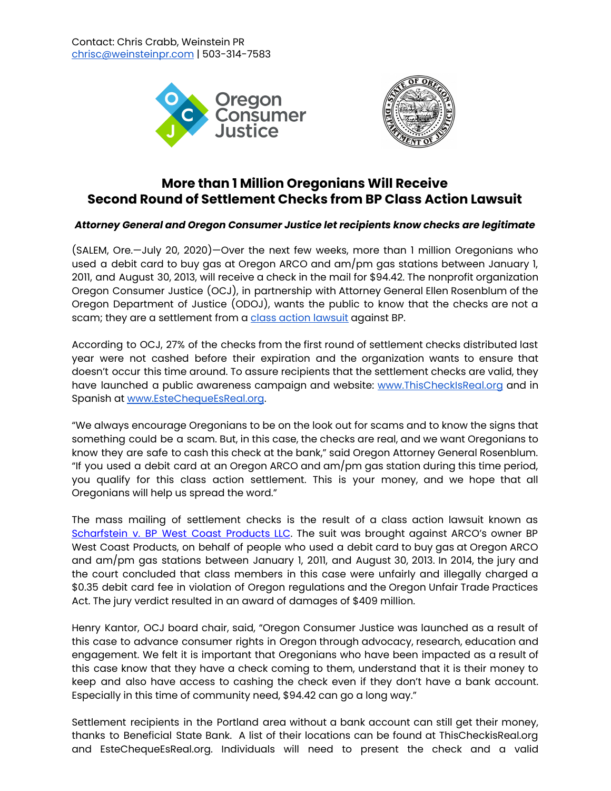



## **More than 1 Million Oregonians Will Receive Second Round of Settlement Checks from BP Class Action Lawsuit**

## *Attorney General and Oregon Consumer Justice let recipients know checks are legitimate*

(SALEM, Ore.—July 20, 2020)—Over the next few weeks, more than 1 million Oregonians who used a debit card to buy gas at Oregon ARCO and am/pm gas stations between January 1, 2011, and August 30, 2013, will receive a check in the mail for \$94.42. The nonprofit organization Oregon Consumer Justice (OCJ), in partnership with Attorney General Ellen Rosenblum of the Oregon Department of Justice (ODOJ), wants the public to know that the checks are not a scam; they are a settlement from a class action [lawsuit](https://www.debitcardclassaction.com/) against BP.

According to OCJ, 27% of the checks from the first round of settlement checks distributed last year were not cashed before their expiration and the organization wants to ensure that doesn't occur this time around. To assure recipients that the settlement checks are valid, they have launched a public awareness campaign and website: [www.ThisCheckIsReal.org](http://www.thischeckisreal.org/) and in Spanish at [www.EsteChequeEsReal.org.](http://www.estechequeesreal.org/)

"We always encourage Oregonians to be on the look out for scams and to know the signs that something could be a scam. But, in this case, the checks are real, and we want Oregonians to know they are safe to cash this check at the bank," said Oregon Attorney General Rosenblum. "If you used a debit card at an Oregon ARCO and am/pm gas station during this time period, you qualify for this class action settlement. This is your money, and we hope that all Oregonians will help us spread the word."

The mass mailing of settlement checks is the result of a class action lawsuit known as [Scharfstein](https://www.debitcardclassaction.com/) v. BP West Coast Products LLC. The suit was brought against ARCO's owner BP West Coast Products, on behalf of people who used a debit card to buy gas at Oregon ARCO and am/pm gas stations between January 1, 2011, and August 30, 2013. In 2014, the jury and the court concluded that class members in this case were unfairly and illegally charged a \$0.35 debit card fee in violation of Oregon regulations and the Oregon Unfair Trade Practices Act. The jury verdict resulted in an award of damages of \$409 million.

Henry Kantor, OCJ board chair, said, "Oregon Consumer Justice was launched as a result of this case to advance consumer rights in Oregon through advocacy, research, education and engagement. We felt it is important that Oregonians who have been impacted as a result of this case know that they have a check coming to them, understand that it is their money to keep and also have access to cashing the check even if they don't have a bank account. Especially in this time of community need, \$94.42 can go a long way."

Settlement recipients in the Portland area without a bank account can still get their money, thanks to Beneficial State Bank. A list of their locations can be found at [ThisCheckisReal.org](https://www.thischeckisreal.org/) and [EsteChequeEsReal.org.](http://www.estechequeesreal.org/) Individuals will need to present the check and a valid